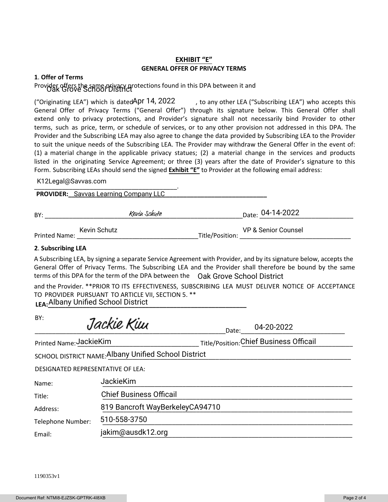#### **EXHIBIT "E" GENERAL OFFER OF PRIVACY TERMS**

#### **1**. **Offer of Terms**

# Provider offers the same privacy protections found in this DPA between it and<br>USK Grove School Istrict

("Originating LEA") which is dated Apr 14, 2022  $\qquad$ , to any other LEA ("Subscribing LEA") who accepts this General Offer of Privacy Terms ("General Offer") through its signature below. This General Offer shall extend only to privacy protections, and Provider's signature shall not necessarily bind Provider to other terms, such as price, term, or schedule of services, or to any other provision not addressed in this DPA. The Provider and the Subscribing LEA may also agree to change the data provided by Subscribing LEA to the Provider to suit the unique needs of the Subscribing LEA. The Provider may withdraw the General Offer in the event of: (1) a material change in the applicable privacy statues; (2) a material change in the services and products listed in the originating Service Agreement; or three (3) years after the date of Provider's signature to this Form. Subscribing LEAs should send the signed **Exhibit "E"** to Provider at the following email address:

\_\_\_\_\_\_\_\_\_\_\_\_\_\_\_\_\_\_\_\_\_\_\_\_\_\_\_\_\_\_\_\_\_\_\_\_\_\_\_\_\_. K12Legal@Savvas.com

**PROVIDER:** Savvas Learning Company LLC **Company LLC Communist Communist Communist Communist Communist Communist Communist Communist Communist Communist Communist Communist Communist Communist Communist Communist Communi** 

| BY: | Keviu Schut <del>z</del>                  |  | 04-14-2022<br>Date:      |  |
|-----|-------------------------------------------|--|--------------------------|--|
|     |                                           |  |                          |  |
|     | $V \sim \text{div} \Omega \sim h \cdot H$ |  | <b>UD Conjor Counsel</b> |  |

Printed Name: \_\_\_\_\_\_\_\_\_\_\_\_\_\_\_\_\_\_\_\_\_\_\_\_\_\_\_\_\_\_\_\_\_\_\_Title/Position: \_\_\_\_\_\_\_\_\_\_\_\_\_\_\_\_\_\_\_\_\_\_\_\_\_\_\_\_\_\_\_\_

Kevin Schutz VP & Senior Counsel

#### **2**. **Subscribing LEA**

A Subscribing LEA, by signing a separate Service Agreement with Provider, and by its signature below, accepts the General Offer of Privacy Terms. The Subscribing LEA and the Provider shall therefore be bound by the same terms of this DPA for the term of the DPA between the Oak Grove School District

and the Provider. \*\*PRIOR TO ITS EFFECTIVENESS, SUBSCRIBING LEA MUST DELIVER NOTICE OF ACCEPTANCE TO PROVIDER PURSUANT TO ARTICLE VII, SECTION 5. \*\*

**LEA:\_\_\_\_\_\_\_\_\_\_\_\_\_\_\_\_\_\_\_\_\_\_\_\_\_\_\_\_\_\_\_\_\_\_\_\_\_\_\_\_\_\_\_\_\_\_\_\_\_\_\_\_\_\_\_\_\_** Albany Unied School District

| BY:                                                  | Jackie Kiui                     | Date: | 04-20-2022                              |  |  |
|------------------------------------------------------|---------------------------------|-------|-----------------------------------------|--|--|
| Printed Name: JackieKim                              |                                 |       | Title/Position: Chief Business Officail |  |  |
| SCHOOL DISTRICT NAME: Albany Unified School District |                                 |       |                                         |  |  |
| DESIGNATED REPRESENTATIVE OF LEA:                    |                                 |       |                                         |  |  |
| Name:                                                | <b>JackieKim</b>                |       |                                         |  |  |
| Title:                                               | <b>Chief Business Officail</b>  |       |                                         |  |  |
| Address:                                             | 819 Bancroft WayBerkeleyCA94710 |       |                                         |  |  |
| Telephone Number:                                    | 510-558-3750                    |       |                                         |  |  |
| Email:                                               | jakim@ausdk12.org               |       |                                         |  |  |

1190353v1